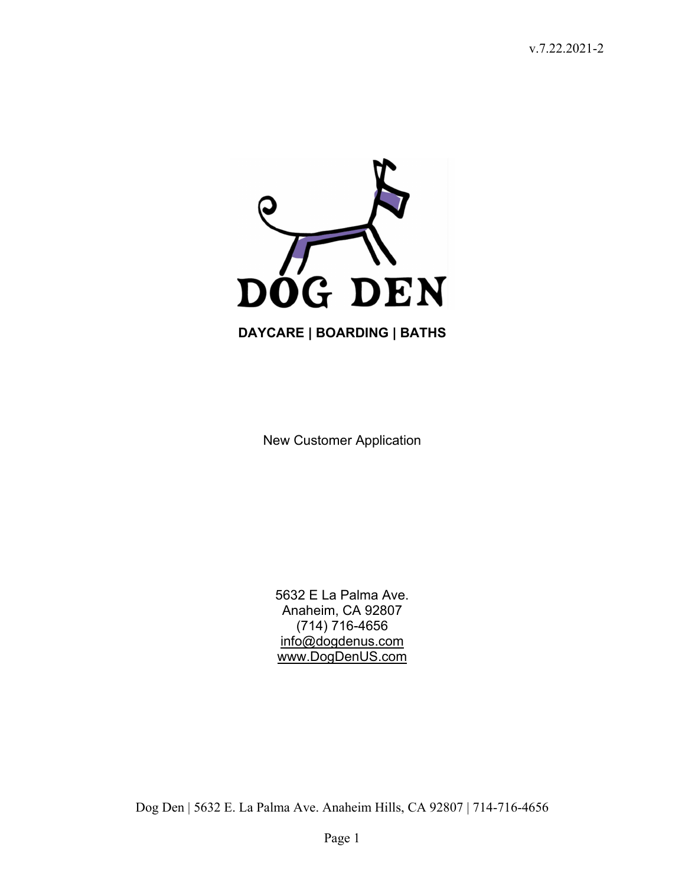

New Customer Application

5632 E La Palma Ave. Anaheim, CA 92807 (714) 716-4656 info@dogdenus.com www.DogDenUS.com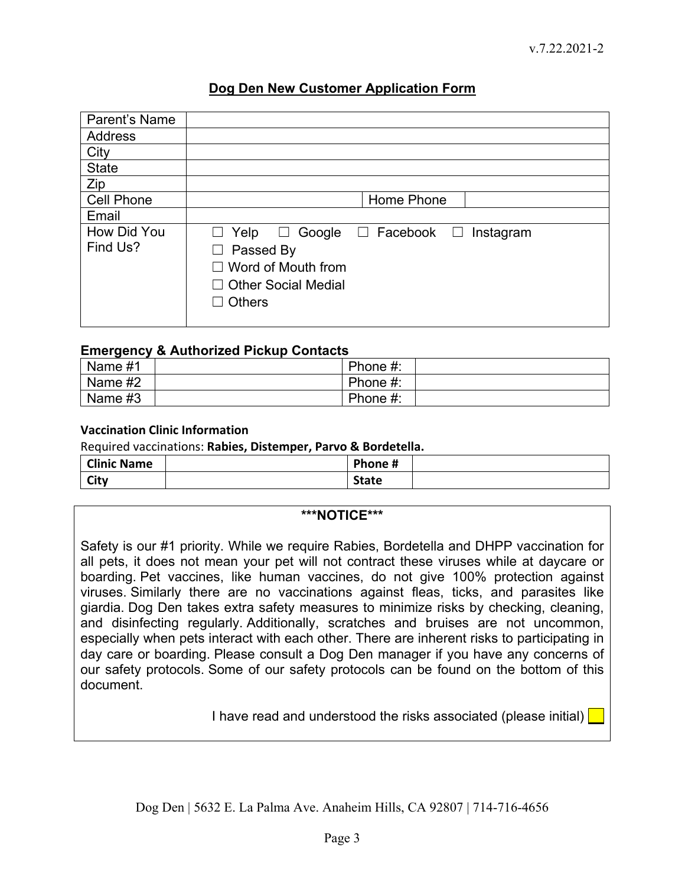#### **Dog Den New Customer Application Form**

| Parent's Name           |                                                                                                                                                                              |
|-------------------------|------------------------------------------------------------------------------------------------------------------------------------------------------------------------------|
| <b>Address</b>          |                                                                                                                                                                              |
| City                    |                                                                                                                                                                              |
| <b>State</b>            |                                                                                                                                                                              |
| Zip                     |                                                                                                                                                                              |
| <b>Cell Phone</b>       | Home Phone                                                                                                                                                                   |
| Email                   |                                                                                                                                                                              |
| How Did You<br>Find Us? | Google $\Box$ Facebook $\Box$ Instagram<br>Yelp<br>ப<br>ப<br>Passed By<br>$\Box$<br>$\Box$ Word of Mouth from<br>$\Box$ Other Social Medial<br><b>Others</b><br>$\mathsf{L}$ |

#### **Emergency & Authorized Pickup Contacts**

| Name #1 | Phone #: |  |
|---------|----------|--|
| Name #2 | Phone #: |  |
| Name #3 | Phone #: |  |

#### **Vaccination Clinic Information**

Required vaccinations: **Rabies, Distemper, Parvo & Bordetella.** 

| <b>Clinic Name</b> | Phone #      |  |
|--------------------|--------------|--|
| City               | <b>State</b> |  |

#### **\*\*\*NOTICE\*\*\***

Safety is our #1 priority. While we require Rabies, Bordetella and DHPP vaccination for all pets, it does not mean your pet will not contract these viruses while at daycare or boarding. Pet vaccines, like human vaccines, do not give 100% protection against viruses. Similarly there are no vaccinations against fleas, ticks, and parasites like giardia. Dog Den takes extra safety measures to minimize risks by checking, cleaning, and disinfecting regularly. Additionally, scratches and bruises are not uncommon, especially when pets interact with each other. There are inherent risks to participating in day care or boarding. Please consult a Dog Den manager if you have any concerns of our safety protocols. Some of our safety protocols can be found on the bottom of this document.

I have read and understood the risks associated (please initial)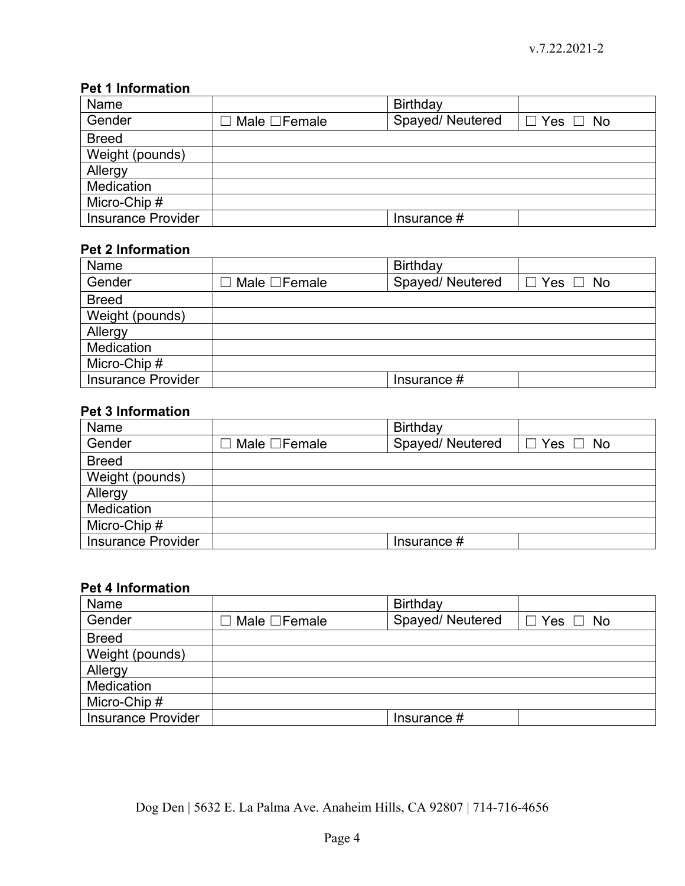## **Pet 1 Information**

| Name                      |                    | Birthday        |                      |
|---------------------------|--------------------|-----------------|----------------------|
| Gender                    | Male $\Box$ Female | Spayed/Neutered | $\Box$ Yes $\Box$ No |
| <b>Breed</b>              |                    |                 |                      |
| Weight (pounds)           |                    |                 |                      |
| Allergy                   |                    |                 |                      |
| <b>Medication</b>         |                    |                 |                      |
| Micro-Chip #              |                    |                 |                      |
| <b>Insurance Provider</b> |                    | Insurance $#$   |                      |

## **Pet 2 Information**

| Name                      |                           | Birthday        |                      |
|---------------------------|---------------------------|-----------------|----------------------|
| Gender                    | $\Box$ Male $\Box$ Female | Spayed/Neutered | $\Box$ Yes $\Box$ No |
| <b>Breed</b>              |                           |                 |                      |
| Weight (pounds)           |                           |                 |                      |
| Allergy                   |                           |                 |                      |
| <b>Medication</b>         |                           |                 |                      |
| Micro-Chip #              |                           |                 |                      |
| <b>Insurance Provider</b> |                           | Insurance $#$   |                      |

# **Pet 3 Information**

| Name                      |                           | <b>Birthday</b> |                      |
|---------------------------|---------------------------|-----------------|----------------------|
| Gender                    | $\Box$ Male $\Box$ Female | Spayed/Neutered | $\Box$ Yes $\Box$ No |
| <b>Breed</b>              |                           |                 |                      |
| Weight (pounds)           |                           |                 |                      |
| Allergy                   |                           |                 |                      |
| <b>Medication</b>         |                           |                 |                      |
| Micro-Chip #              |                           |                 |                      |
| <b>Insurance Provider</b> |                           | Insurance $#$   |                      |

# **Pet 4 Information**

| Name                      |                           | <b>Birthday</b> |                      |
|---------------------------|---------------------------|-----------------|----------------------|
| Gender                    | $\Box$ Male $\Box$ Female | Spayed/Neutered | $\Box$ Yes $\Box$ No |
| <b>Breed</b>              |                           |                 |                      |
| Weight (pounds)           |                           |                 |                      |
| Allergy                   |                           |                 |                      |
| <b>Medication</b>         |                           |                 |                      |
| Micro-Chip #              |                           |                 |                      |
| <b>Insurance Provider</b> |                           | Insurance $#$   |                      |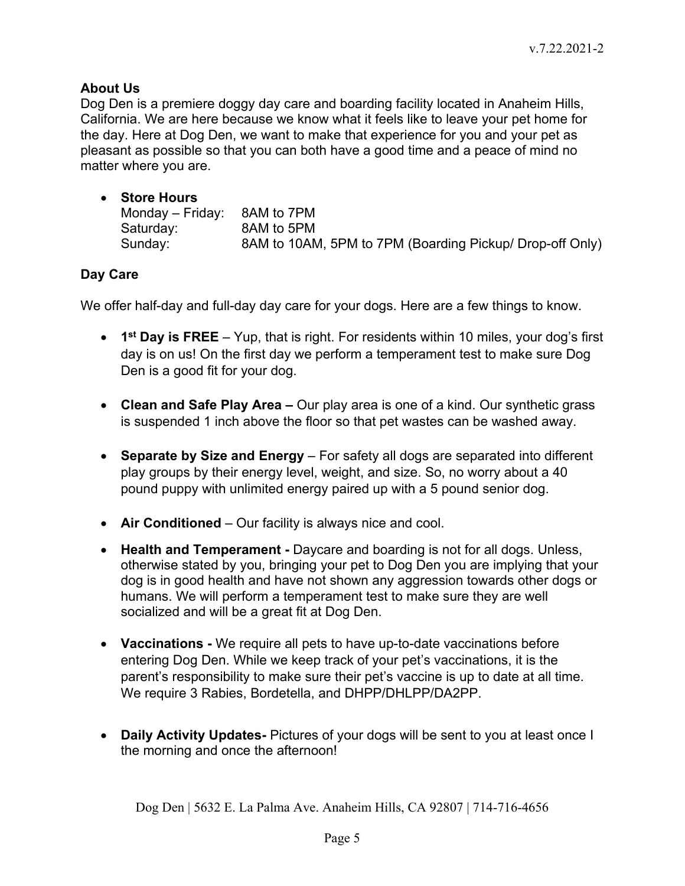### **About Us**

Dog Den is a premiere doggy day care and boarding facility located in Anaheim Hills, California. We are here because we know what it feels like to leave your pet home for the day. Here at Dog Den, we want to make that experience for you and your pet as pleasant as possible so that you can both have a good time and a peace of mind no matter where you are.

| • Store Hours    |                                                          |
|------------------|----------------------------------------------------------|
| Monday – Friday: | 8AM to 7PM                                               |
| Saturday:        | 8AM to 5PM                                               |
| Sunday:          | 8AM to 10AM, 5PM to 7PM (Boarding Pickup/ Drop-off Only) |

### **Day Care**

We offer half-day and full-day day care for your dogs. Here are a few things to know.

- **1st Day is FREE** Yup, that is right. For residents within 10 miles, your dog's first day is on us! On the first day we perform a temperament test to make sure Dog Den is a good fit for your dog.
- **Clean and Safe Play Area** Our play area is one of a kind. Our synthetic grass is suspended 1 inch above the floor so that pet wastes can be washed away.
- **Separate by Size and Energy**  For safety all dogs are separated into different play groups by their energy level, weight, and size. So, no worry about a 40 pound puppy with unlimited energy paired up with a 5 pound senior dog.
- **Air Conditioned**  Our facility is always nice and cool.
- **Health and Temperament** Daycare and boarding is not for all dogs. Unless, otherwise stated by you, bringing your pet to Dog Den you are implying that your dog is in good health and have not shown any aggression towards other dogs or humans. We will perform a temperament test to make sure they are well socialized and will be a great fit at Dog Den.
- **Vaccinations** We require all pets to have up-to-date vaccinations before entering Dog Den. While we keep track of your pet's vaccinations, it is the parent's responsibility to make sure their pet's vaccine is up to date at all time. We require 3 Rabies, Bordetella, and DHPP/DHLPP/DA2PP.
- **Daily Activity Updates-** Pictures of your dogs will be sent to you at least once I the morning and once the afternoon!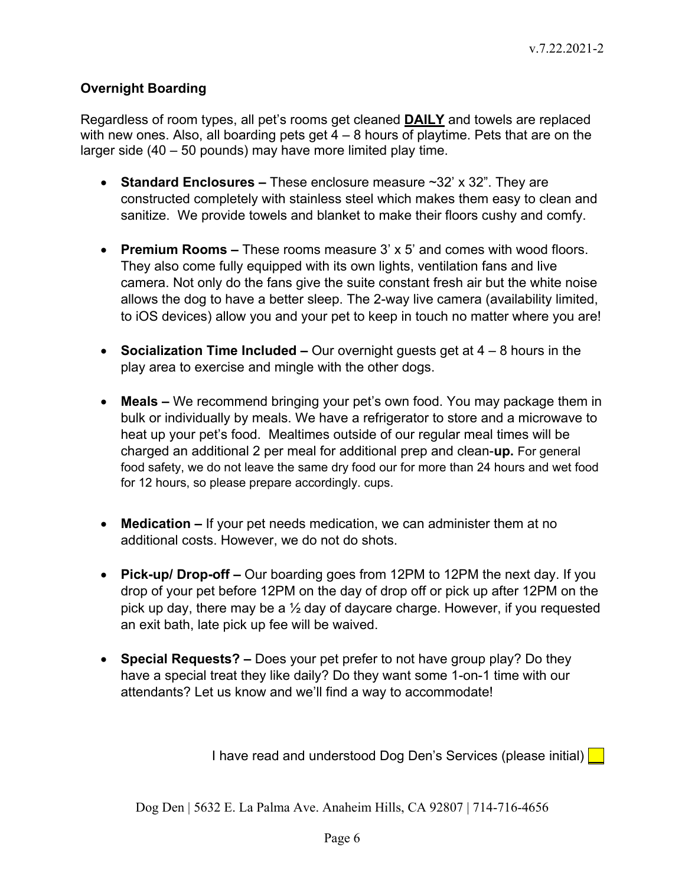### **Overnight Boarding**

Regardless of room types, all pet's rooms get cleaned **DAILY** and towels are replaced with new ones. Also, all boarding pets get  $4 - 8$  hours of playtime. Pets that are on the larger side (40 – 50 pounds) may have more limited play time.

- **Standard Enclosures** These enclosure measure ~32' x 32". They are constructed completely with stainless steel which makes them easy to clean and sanitize. We provide towels and blanket to make their floors cushy and comfy.
- **Premium Rooms** These rooms measure 3' x 5' and comes with wood floors. They also come fully equipped with its own lights, ventilation fans and live camera. Not only do the fans give the suite constant fresh air but the white noise allows the dog to have a better sleep. The 2-way live camera (availability limited, to iOS devices) allow you and your pet to keep in touch no matter where you are!
- **Socialization Time Included** Our overnight guests get at 4 8 hours in the play area to exercise and mingle with the other dogs.
- **Meals** We recommend bringing your pet's own food. You may package them in bulk or individually by meals. We have a refrigerator to store and a microwave to heat up your pet's food. Mealtimes outside of our regular meal times will be charged an additional 2 per meal for additional prep and clean-**up.** For general food safety, we do not leave the same dry food our for more than 24 hours and wet food for 12 hours, so please prepare accordingly. cups.
- **Medication** If your pet needs medication, we can administer them at no additional costs. However, we do not do shots.
- **Pick-up/ Drop-off** Our boarding goes from 12PM to 12PM the next day. If you drop of your pet before 12PM on the day of drop off or pick up after 12PM on the pick up day, there may be a  $\frac{1}{2}$  day of daycare charge. However, if you requested an exit bath, late pick up fee will be waived.
- **Special Requests?** Does your pet prefer to not have group play? Do they have a special treat they like daily? Do they want some 1-on-1 time with our attendants? Let us know and we'll find a way to accommodate!

I have read and understood Dog Den's Services (please initial)  $\boxed{\phantom{a}}$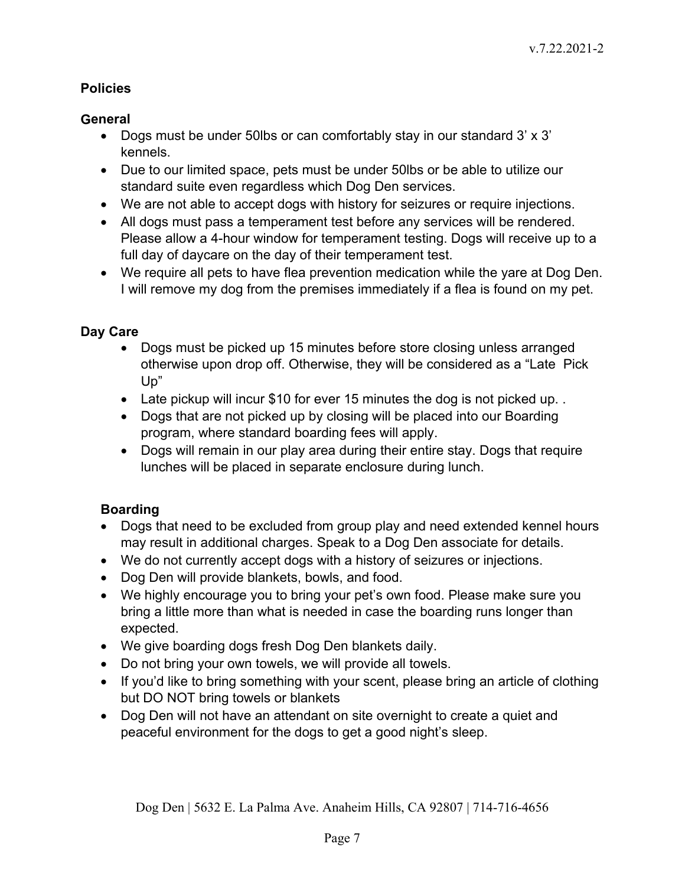# **Policies**

# **General**

- Dogs must be under 50lbs or can comfortably stay in our standard 3' x 3' kennels.
- Due to our limited space, pets must be under 50lbs or be able to utilize our standard suite even regardless which Dog Den services.
- We are not able to accept dogs with history for seizures or require injections.
- All dogs must pass a temperament test before any services will be rendered. Please allow a 4-hour window for temperament testing. Dogs will receive up to a full day of daycare on the day of their temperament test.
- We require all pets to have flea prevention medication while the yare at Dog Den. I will remove my dog from the premises immediately if a flea is found on my pet.

## **Day Care**

- Dogs must be picked up 15 minutes before store closing unless arranged otherwise upon drop off. Otherwise, they will be considered as a "Late Pick Up"
- Late pickup will incur \$10 for ever 15 minutes the dog is not picked up. .
- Dogs that are not picked up by closing will be placed into our Boarding program, where standard boarding fees will apply.
- Dogs will remain in our play area during their entire stay. Dogs that require lunches will be placed in separate enclosure during lunch.

# **Boarding**

- Dogs that need to be excluded from group play and need extended kennel hours may result in additional charges. Speak to a Dog Den associate for details.
- We do not currently accept dogs with a history of seizures or injections.
- Dog Den will provide blankets, bowls, and food.
- We highly encourage you to bring your pet's own food. Please make sure you bring a little more than what is needed in case the boarding runs longer than expected.
- We give boarding dogs fresh Dog Den blankets daily.
- Do not bring your own towels, we will provide all towels.
- If you'd like to bring something with your scent, please bring an article of clothing but DO NOT bring towels or blankets
- Dog Den will not have an attendant on site overnight to create a quiet and peaceful environment for the dogs to get a good night's sleep.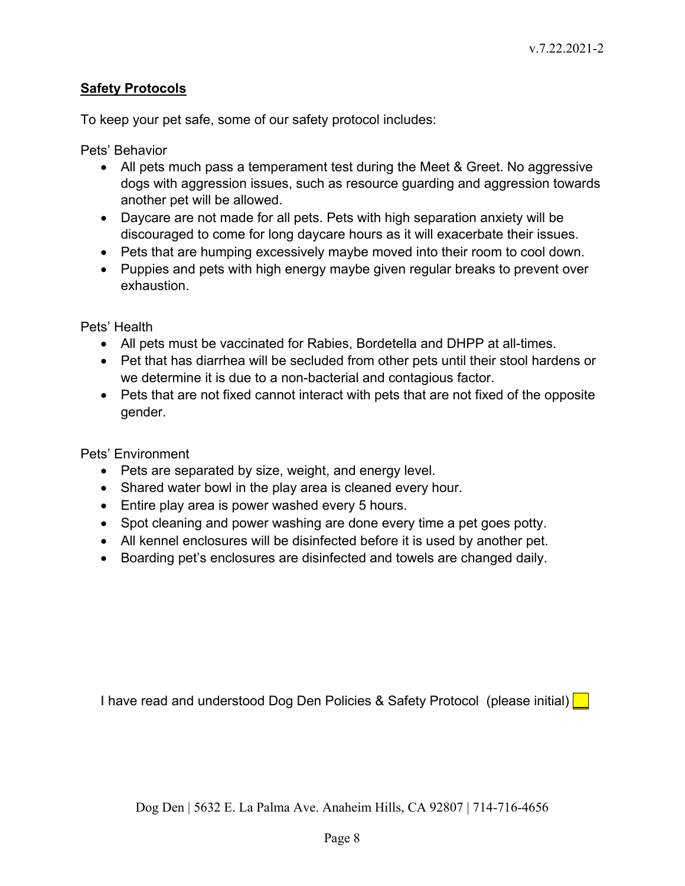### **Safety Protocols**

To keep your pet safe, some of our safety protocol includes:

Pets' Behavior

- All pets much pass a temperament test during the Meet & Greet. No aggressive dogs with aggression issues, such as resource guarding and aggression towards another pet will be allowed.
- Daycare are not made for all pets. Pets with high separation anxiety will be discouraged to come for long daycare hours as it will exacerbate their issues.
- Pets that are humping excessively maybe moved into their room to cool down.
- Puppies and pets with high energy maybe given regular breaks to prevent over exhaustion.

Pets' Health

- All pets must be vaccinated for Rabies, Bordetella and DHPP at all-times.
- Pet that has diarrhea will be secluded from other pets until their stool hardens or we determine it is due to a non-bacterial and contagious factor.
- Pets that are not fixed cannot interact with pets that are not fixed of the opposite gender.

Pets' Environment

- Pets are separated by size, weight, and energy level.
- Shared water bowl in the play area is cleaned every hour.
- Entire play area is power washed every 5 hours.
- Spot cleaning and power washing are done every time a pet goes potty.
- All kennel enclosures will be disinfected before it is used by another pet.
- Boarding pet's enclosures are disinfected and towels are changed daily.

I have read and understood Dog Den Policies & Safety Protocol (please initial)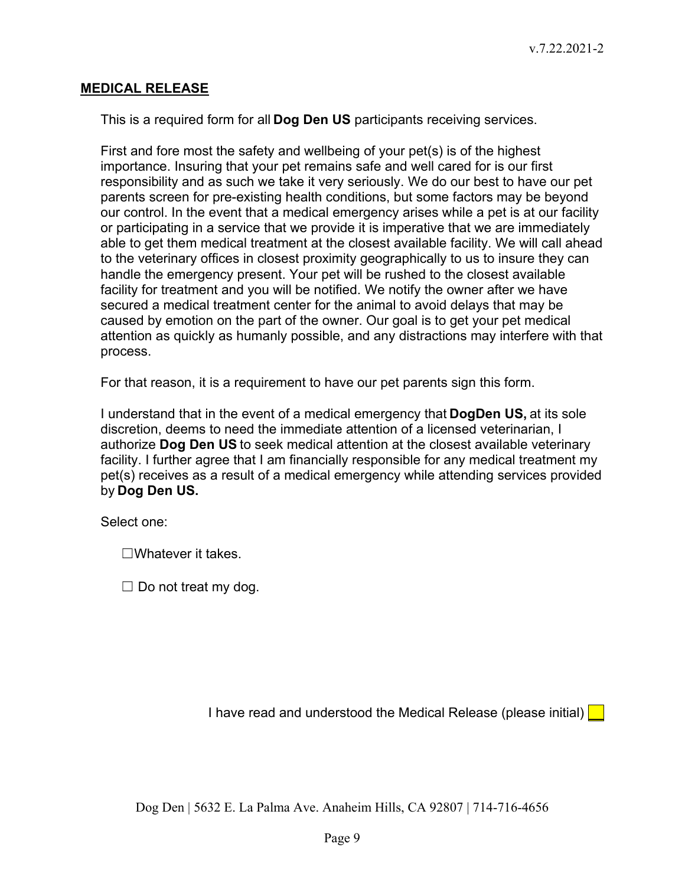#### **MEDICAL RELEASE**

This is a required form for all **Dog Den US** participants receiving services.

First and fore most the safety and wellbeing of your pet(s) is of the highest importance. Insuring that your pet remains safe and well cared for is our first responsibility and as such we take it very seriously. We do our best to have our pet parents screen for pre-existing health conditions, but some factors may be beyond our control. In the event that a medical emergency arises while a pet is at our facility or participating in a service that we provide it is imperative that we are immediately able to get them medical treatment at the closest available facility. We will call ahead to the veterinary offices in closest proximity geographically to us to insure they can handle the emergency present. Your pet will be rushed to the closest available facility for treatment and you will be notified. We notify the owner after we have secured a medical treatment center for the animal to avoid delays that may be caused by emotion on the part of the owner. Our goal is to get your pet medical attention as quickly as humanly possible, and any distractions may interfere with that process.

For that reason, it is a requirement to have our pet parents sign this form.

I understand that in the event of a medical emergency that **DogDen US,** at its sole discretion, deems to need the immediate attention of a licensed veterinarian, I authorize **Dog Den US** to seek medical attention at the closest available veterinary facility. I further agree that I am financially responsible for any medical treatment my pet(s) receives as a result of a medical emergency while attending services provided by **Dog Den US.**

Select one:

☐Whatever it takes.

 $\Box$  Do not treat my dog.

I have read and understood the Medical Release (please initial)  $\Box$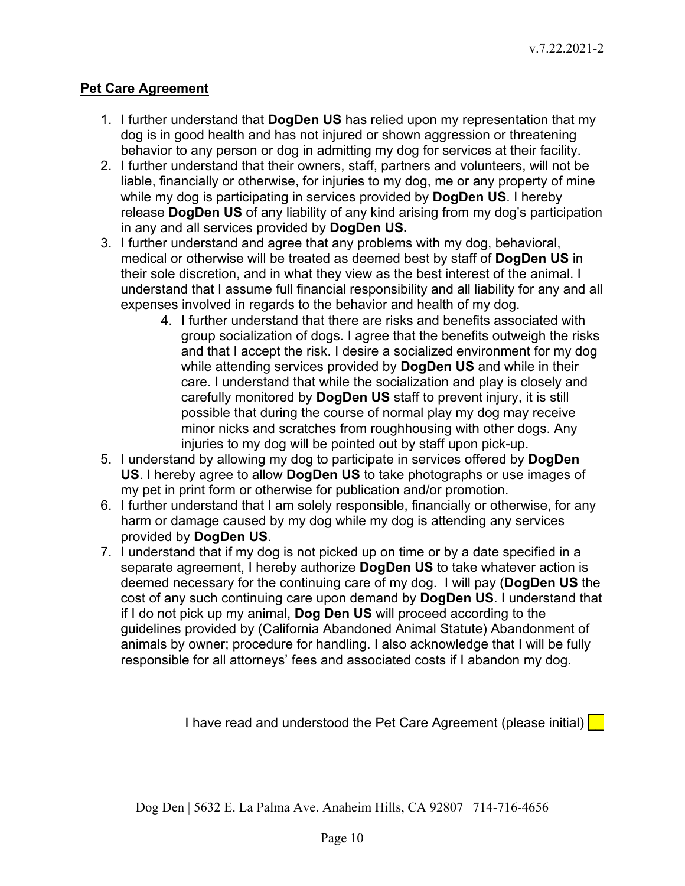### **Pet Care Agreement**

- 1. I further understand that **DogDen US** has relied upon my representation that my dog is in good health and has not injured or shown aggression or threatening behavior to any person or dog in admitting my dog for services at their facility.
- 2. I further understand that their owners, staff, partners and volunteers, will not be liable, financially or otherwise, for injuries to my dog, me or any property of mine while my dog is participating in services provided by **DogDen US**. I hereby release **DogDen US** of any liability of any kind arising from my dog's participation in any and all services provided by **DogDen US.**
- 3. I further understand and agree that any problems with my dog, behavioral, medical or otherwise will be treated as deemed best by staff of **DogDen US** in their sole discretion, and in what they view as the best interest of the animal. I understand that I assume full financial responsibility and all liability for any and all expenses involved in regards to the behavior and health of my dog.
	- 4. I further understand that there are risks and benefits associated with group socialization of dogs. I agree that the benefits outweigh the risks and that I accept the risk. I desire a socialized environment for my dog while attending services provided by **DogDen US** and while in their care. I understand that while the socialization and play is closely and carefully monitored by **DogDen US** staff to prevent injury, it is still possible that during the course of normal play my dog may receive minor nicks and scratches from roughhousing with other dogs. Any injuries to my dog will be pointed out by staff upon pick-up.
- 5. I understand by allowing my dog to participate in services offered by **DogDen US**. I hereby agree to allow **DogDen US** to take photographs or use images of my pet in print form or otherwise for publication and/or promotion.
- 6. I further understand that I am solely responsible, financially or otherwise, for any harm or damage caused by my dog while my dog is attending any services provided by **DogDen US**.
- 7. I understand that if my dog is not picked up on time or by a date specified in a separate agreement, I hereby authorize **DogDen US** to take whatever action is deemed necessary for the continuing care of my dog. I will pay (**DogDen US** the cost of any such continuing care upon demand by **DogDen US**. I understand that if I do not pick up my animal, **Dog Den US** will proceed according to the guidelines provided by (California Abandoned Animal Statute) Abandonment of animals by owner; procedure for handling. I also acknowledge that I will be fully responsible for all attorneys' fees and associated costs if I abandon my dog.

I have read and understood the Pet Care Agreement (please initial)  $\Box$